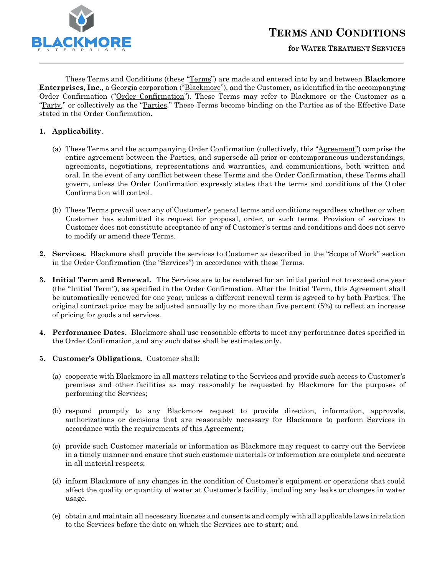

These Terms and Conditions (these "Terms") are made and entered into by and between **Blackmore Enterprises, Inc.**, a Georgia corporation ("Blackmore"), and the Customer, as identified in the accompanying Order Confirmation ("Order Confirmation"). These Terms may refer to Blackmore or the Customer as a "Party," or collectively as the "Parties." These Terms become binding on the Parties as of the Effective Date stated in the Order Confirmation.

# **1. Applicability**.

l

- (a) These Terms and the accompanying Order Confirmation (collectively, this "Agreement") comprise the entire agreement between the Parties, and supersede all prior or contemporaneous understandings, agreements, negotiations, representations and warranties, and communications, both written and oral. In the event of any conflict between these Terms and the Order Confirmation, these Terms shall govern, unless the Order Confirmation expressly states that the terms and conditions of the Order Confirmation will control.
- (b) These Terms prevail over any of Customer's general terms and conditions regardless whether or when Customer has submitted its request for proposal, order, or such terms. Provision of services to Customer does not constitute acceptance of any of Customer's terms and conditions and does not serve to modify or amend these Terms.
- **2. Services.** Blackmore shall provide the services to Customer as described in the "Scope of Work" section in the Order Confirmation (the "Services") in accordance with these Terms.
- **3. Initial Term and Renewal.** The Services are to be rendered for an initial period not to exceed one year (the "Initial Term"), as specified in the Order Confirmation. After the Initial Term, this Agreement shall be automatically renewed for one year, unless a different renewal term is agreed to by both Parties. The original contract price may be adjusted annually by no more than five percent (5%) to reflect an increase of pricing for goods and services.
- **4. Performance Dates.** Blackmore shall use reasonable efforts to meet any performance dates specified in the Order Confirmation, and any such dates shall be estimates only.
- **5. Customer's Obligations.** Customer shall:
	- (a) cooperate with Blackmore in all matters relating to the Services and provide such access to Customer's premises and other facilities as may reasonably be requested by Blackmore for the purposes of performing the Services;
	- (b) respond promptly to any Blackmore request to provide direction, information, approvals, authorizations or decisions that are reasonably necessary for Blackmore to perform Services in accordance with the requirements of this Agreement;
	- (c) provide such Customer materials or information as Blackmore may request to carry out the Services in a timely manner and ensure that such customer materials or information are complete and accurate in all material respects;
	- (d) inform Blackmore of any changes in the condition of Customer's equipment or operations that could affect the quality or quantity of water at Customer's facility, including any leaks or changes in water usage.
	- (e) obtain and maintain all necessary licenses and consents and comply with all applicable laws in relation to the Services before the date on which the Services are to start; and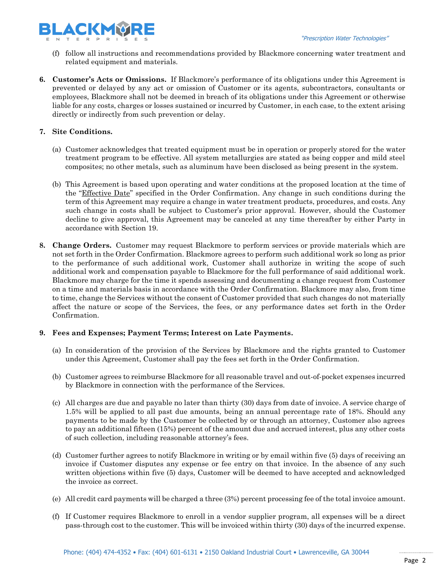

- (f) follow all instructions and recommendations provided by Blackmore concerning water treatment and related equipment and materials.
- **6. Customer's Acts or Omissions.** If Blackmore's performance of its obligations under this Agreement is prevented or delayed by any act or omission of Customer or its agents, subcontractors, consultants or employees, Blackmore shall not be deemed in breach of its obligations under this Agreement or otherwise liable for any costs, charges or losses sustained or incurred by Customer, in each case, to the extent arising directly or indirectly from such prevention or delay.

# **7. Site Conditions.**

- (a) Customer acknowledges that treated equipment must be in operation or properly stored for the water treatment program to be effective. All system metallurgies are stated as being copper and mild steel composites; no other metals, such as aluminum have been disclosed as being present in the system.
- (b) This Agreement is based upon operating and water conditions at the proposed location at the time of the "Effective Date" specified in the Order Confirmation. Any change in such conditions during the term of this Agreement may require a change in water treatment products, procedures, and costs. Any such change in costs shall be subject to Customer's prior approval. However, should the Customer decline to give approval, this Agreement may be canceled at any time thereafter by either Party in accordance with Section [19.](#page-4-0)
- **8. Change Orders.** Customer may request Blackmore to perform services or provide materials which are not set forth in the Order Confirmation. Blackmore agrees to perform such additional work so long as prior to the performance of such additional work, Customer shall authorize in writing the scope of such additional work and compensation payable to Blackmore for the full performance of said additional work. Blackmore may charge for the time it spends assessing and documenting a change request from Customer on a time and materials basis in accordance with the Order Confirmation. Blackmore may also, from time to time, change the Services without the consent of Customer provided that such changes do not materially affect the nature or scope of the Services, the fees, or any performance dates set forth in the Order Confirmation.

# **9. Fees and Expenses; Payment Terms; Interest on Late Payments.**

- (a) In consideration of the provision of the Services by Blackmore and the rights granted to Customer under this Agreement, Customer shall pay the fees set forth in the Order Confirmation.
- (b) Customer agrees to reimburse Blackmore for all reasonable travel and out-of-pocket expenses incurred by Blackmore in connection with the performance of the Services.
- (c) All charges are due and payable no later than thirty (30) days from date of invoice. A service charge of 1.5% will be applied to all past due amounts, being an annual percentage rate of 18%. Should any payments to be made by the Customer be collected by or through an attorney, Customer also agrees to pay an additional fifteen (15%) percent of the amount due and accrued interest, plus any other costs of such collection, including reasonable attorney's fees.
- (d) Customer further agrees to notify Blackmore in writing or by email within five (5) days of receiving an invoice if Customer disputes any expense or fee entry on that invoice. In the absence of any such written objections within five (5) days, Customer will be deemed to have accepted and acknowledged the invoice as correct.
- (e) All credit card payments will be charged a three (3%) percent processing fee of the total invoice amount.
- (f) If Customer requires Blackmore to enroll in a vendor supplier program, all expenses will be a direct pass-through cost to the customer. This will be invoiced within thirty (30) days of the incurred expense.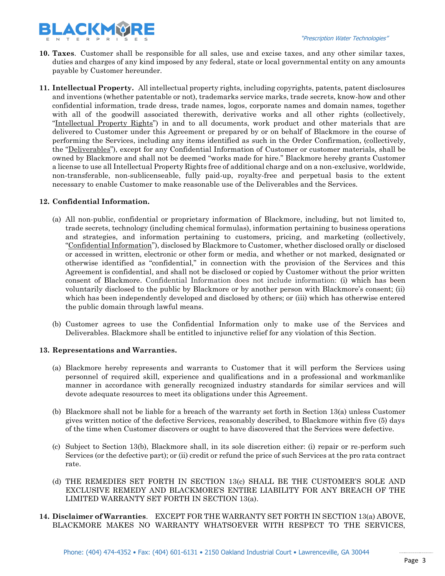- **10. Taxes**. Customer shall be responsible for all sales, use and excise taxes, and any other similar taxes, duties and charges of any kind imposed by any federal, state or local governmental entity on any amounts payable by Customer hereunder.
- **11. Intellectual Property.** All intellectual property rights, including copyrights, patents, patent disclosures and inventions (whether patentable or not), trademarks service marks, trade secrets, know-how and other confidential information, trade dress, trade names, logos, corporate names and domain names, together with all of the goodwill associated therewith, derivative works and all other rights (collectively, "Intellectual Property Rights") in and to all documents, work product and other materials that are delivered to Customer under this Agreement or prepared by or on behalf of Blackmore in the course of performing the Services, including any items identified as such in the Order Confirmation, (collectively, the "Deliverables"), except for any Confidential Information of Customer or customer materials, shall be owned by Blackmore and shall not be deemed "works made for hire." Blackmore hereby grants Customer a license to use all Intellectual Property Rights free of additional charge and on a non-exclusive, worldwide, non-transferable, non-sublicenseable, fully paid-up, royalty-free and perpetual basis to the extent necessary to enable Customer to make reasonable use of the Deliverables and the Services.

### **12. Confidential Information.**

- (a) All non-public, confidential or proprietary information of Blackmore, including, but not limited to, trade secrets, technology (including chemical formulas), information pertaining to business operations and strategies, and information pertaining to customers, pricing, and marketing (collectively, "Confidential Information"), disclosed by Blackmore to Customer, whether disclosed orally or disclosed or accessed in written, electronic or other form or media, and whether or not marked, designated or otherwise identified as "confidential," in connection with the provision of the Services and this Agreement is confidential, and shall not be disclosed or copied by Customer without the prior written consent of Blackmore. Confidential Information does not include information: (i) which has been voluntarily disclosed to the public by Blackmore or by another person with Blackmore's consent; (ii) which has been independently developed and disclosed by others; or (iii) which has otherwise entered the public domain through lawful means.
- (b) Customer agrees to use the Confidential Information only to make use of the Services and Deliverables. Blackmore shall be entitled to injunctive relief for any violation of this Section.

# <span id="page-2-0"></span>**13. Representations and Warranties.**

- (a) Blackmore hereby represents and warrants to Customer that it will perform the Services using personnel of required skill, experience and qualifications and in a professional and workmanlike manner in accordance with generally recognized industry standards for similar services and will devote adequate resources to meet its obligations under this Agreement.
- (b) Blackmore shall not be liable for a breach of the warranty set forth in Section [13\(](#page-2-0)a) unless Customer gives written notice of the defective Services, reasonably described, to Blackmore within five (5) days of the time when Customer discovers or ought to have discovered that the Services were defective.
- (c) Subject to Section [13\(](#page-2-0)b), Blackmore shall, in its sole discretion either: (i) repair or re-perform such Services (or the defective part); or (ii) credit or refund the price of such Services at the pro rata contract rate.
- (d) THE REMEDIES SET FORTH IN SECTION 13(c) SHALL BE THE CUSTOMER'S SOLE AND EXCLUSIVE REMEDY AND BLACKMORE'S ENTIRE LIABILITY FOR ANY BREACH OF THE LIMITED WARRANTY SET FORTH IN SECTION 13(a).
- **14. Disclaimer of Warranties**. EXCEPT FOR THE WARRANTY SET FORTH IN SECTION 13(a) ABOVE, BLACKMORE MAKES NO WARRANTY WHATSOEVER WITH RESPECT TO THE SERVICES,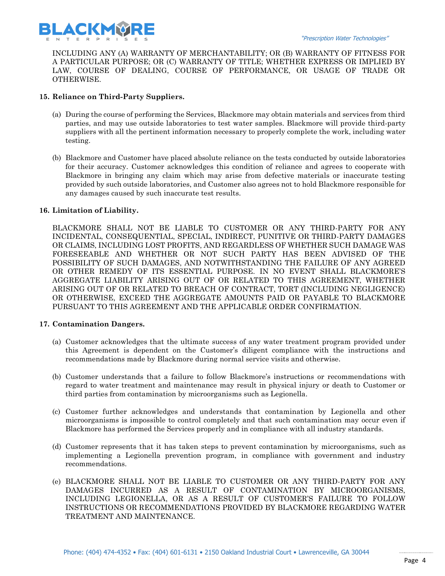

INCLUDING ANY (A) WARRANTY OF MERCHANTABILITY; OR (B) WARRANTY OF FITNESS FOR A PARTICULAR PURPOSE; OR (C) WARRANTY OF TITLE; WHETHER EXPRESS OR IMPLIED BY LAW, COURSE OF DEALING, COURSE OF PERFORMANCE, OR USAGE OF TRADE OR OTHERWISE.

# **15. Reliance on Third-Party Suppliers.**

- (a) During the course of performing the Services, Blackmore may obtain materials and services from third parties, and may use outside laboratories to test water samples. Blackmore will provide third-party suppliers with all the pertinent information necessary to properly complete the work, including water testing.
- (b) Blackmore and Customer have placed absolute reliance on the tests conducted by outside laboratories for their accuracy. Customer acknowledges this condition of reliance and agrees to cooperate with Blackmore in bringing any claim which may arise from defective materials or inaccurate testing provided by such outside laboratories, and Customer also agrees not to hold Blackmore responsible for any damages caused by such inaccurate test results.

# **16. Limitation of Liability.**

BLACKMORE SHALL NOT BE LIABLE TO CUSTOMER OR ANY THIRD-PARTY FOR ANY INCIDENTAL, CONSEQUENTIAL, SPECIAL, INDIRECT, PUNITIVE OR THIRD-PARTY DAMAGES OR CLAIMS, INCLUDING LOST PROFITS, AND REGARDLESS OF WHETHER SUCH DAMAGE WAS FORESEEABLE AND WHETHER OR NOT SUCH PARTY HAS BEEN ADVISED OF THE POSSIBILITY OF SUCH DAMAGES, AND NOTWITHSTANDING THE FAILURE OF ANY AGREED OR OTHER REMEDY OF ITS ESSENTIAL PURPOSE. IN NO EVENT SHALL BLACKMORE'S AGGREGATE LIABILITY ARISING OUT OF OR RELATED TO THIS AGREEMENT, WHETHER ARISING OUT OF OR RELATED TO BREACH OF CONTRACT, TORT (INCLUDING NEGLIGENCE) OR OTHERWISE, EXCEED THE AGGREGATE AMOUNTS PAID OR PAYABLE TO BLACKMORE PURSUANT TO THIS AGREEMENT AND THE APPLICABLE ORDER CONFIRMATION.

# **17. Contamination Dangers.**

- (a) Customer acknowledges that the ultimate success of any water treatment program provided under this Agreement is dependent on the Customer's diligent compliance with the instructions and recommendations made by Blackmore during normal service visits and otherwise.
- (b) Customer understands that a failure to follow Blackmore's instructions or recommendations with regard to water treatment and maintenance may result in physical injury or death to Customer or third parties from contamination by microorganisms such as Legionella.
- (c) Customer further acknowledges and understands that contamination by Legionella and other microorganisms is impossible to control completely and that such contamination may occur even if Blackmore has performed the Services properly and in compliance with all industry standards.
- (d) Customer represents that it has taken steps to prevent contamination by microorganisms, such as implementing a Legionella prevention program, in compliance with government and industry recommendations.
- (e) BLACKMORE SHALL NOT BE LIABLE TO CUSTOMER OR ANY THIRD-PARTY FOR ANY DAMAGES INCURRED AS A RESULT OF CONTAMINATION BY MICROORGANISMS, INCLUDING LEGIONELLA, OR AS A RESULT OF CUSTOMER'S FAILURE TO FOLLOW INSTRUCTIONS OR RECOMMENDATIONS PROVIDED BY BLACKMORE REGARDING WATER TREATMENT AND MAINTENANCE.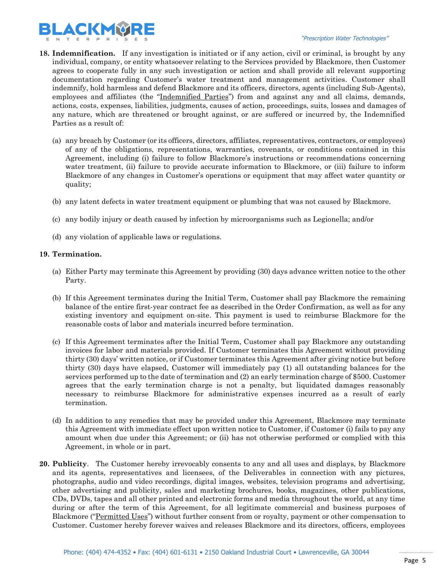

- **18. Indemnification.** If any investigation is initiated or if any action, civil or criminal, is brought by any individual, company, or entity whatsoever relating to the Services provided by Blackmore, then Customer agrees to cooperate fully in any such investigation or action and shall provide all relevant supporting documentation regarding Customer's water treatment and management activities. Customer shall indemnify, hold harmless and defend Blackmore and its officers, directors, agents (including Sub-Agents), employees and affiliates (the "Indemnified Parties") from and against any and all claims, demands, actions, costs, expenses, liabilities, judgments, causes of action, proceedings, suits, losses and damages of any nature, which are threatened or brought against, or are suffered or incurred by, the Indemnified Parties as a result of:
	- (a) any breach by Customer (or its officers, directors, affiliates, representatives, contractors, or employees) of any of the obligations, representations, warranties, covenants, or conditions contained in this Agreement, including (i) failure to follow Blackmore's instructions or recommendations concerning water treatment, (ii) failure to provide accurate information to Blackmore, or (iii) failure to inform Blackmore of any changes in Customer's operations or equipment that may affect water quantity or quality;
	- (b) any latent defects in water treatment equipment or plumbing that was not caused by Blackmore.
	- (c) any bodily injury or death caused by infection by microorganisms such as Legionella; and/or
	- (d) any violation of applicable laws or regulations.

### <span id="page-4-0"></span>**19. Termination.**

- (a) Either Party may terminate this Agreement by providing (30) days advance written notice to the other Party.
- (b) If this Agreement terminates during the Initial Term, Customer shall pay Blackmore the remaining balance of the entire first-year contract fee as described in the Order Confirmation, as well as for any existing inventory and equipment on-site. This payment is used to reimburse Blackmore for the reasonable costs of labor and materials incurred before termination.
- (c) If this Agreement terminates after the Initial Term, Customer shall pay Blackmore any outstanding invoices for labor and materials provided. If Customer terminates this Agreement without providing thirty (30) days' written notice, or if Customer terminates this Agreement after giving notice but before thirty (30) days have elapsed, Customer will immediately pay (1) all outstanding balances for the services performed up to the date of termination and (2) an early termination charge of \$500. Customer agrees that the early termination charge is not a penalty, but liquidated damages reasonably necessary to reimburse Blackmore for administrative expenses incurred as a result of early termination.
- (d) In addition to any remedies that may be provided under this Agreement, Blackmore may terminate this Agreement with immediate effect upon written notice to Customer, if Customer (i) fails to pay any amount when due under this Agreement; or (ii) has not otherwise performed or complied with this Agreement, in whole or in part.
- **20. Publicity**. The Customer hereby irrevocably consents to any and all uses and displays, by Blackmore and its agents, representatives and licensees, of the Deliverables in connection with any pictures, photographs, audio and video recordings, digital images, websites, television programs and advertising, other advertising and publicity, sales and marketing brochures, books, magazines, other publications, CDs, DVDs, tapes and all other printed and electronic forms and media throughout the world, at any time during or after the term of this Agreement, for all legitimate commercial and business purposes of Blackmore ("Permitted Uses") without further consent from or royalty, payment or other compensation to Customer. Customer hereby forever waives and releases Blackmore and its directors, officers, employees